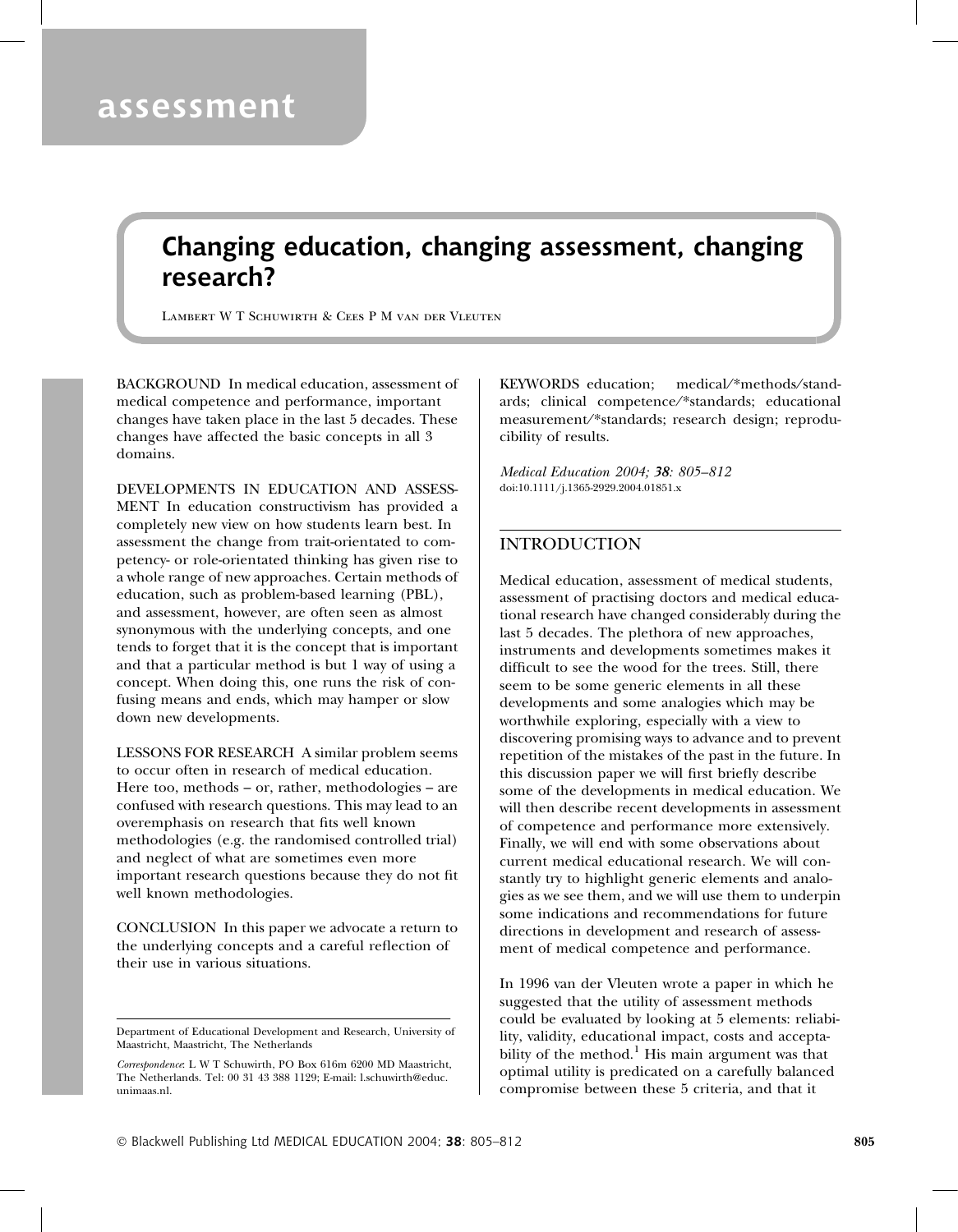# assessment

# Changing education, changing assessment, changing research?

Lambert W T Schuwirth & Cees P M van der Vleuten

BACKGROUND In medical education, assessment of medical competence and performance, important changes have taken place in the last 5 decades. These changes have affected the basic concepts in all 3 domains.

DEVELOPMENTS IN EDUCATION AND ASSESS-MENT In education constructivism has provided a completely new view on how students learn best. In assessment the change from trait-orientated to competency- or role-orientated thinking has given rise to a whole range of new approaches. Certain methods of education, such as problem-based learning (PBL), and assessment, however, are often seen as almost synonymous with the underlying concepts, and one tends to forget that it is the concept that is important and that a particular method is but 1 way of using a concept. When doing this, one runs the risk of confusing means and ends, which may hamper or slow down new developments.

LESSONS FOR RESEARCH A similar problem seems to occur often in research of medical education. Here too, methods – or, rather, methodologies – are confused with research questions. This may lead to an overemphasis on research that fits well known methodologies (e.g. the randomised controlled trial) and neglect of what are sometimes even more important research questions because they do not fit well known methodologies.

CONCLUSION In this paper we advocate a return to the underlying concepts and a careful reflection of their use in various situations.

KEYWORDS education; medical/\*methods/standards; clinical competence/\*standards; educational measurement⁄ \*standards; research design; reproducibility of results.

Medical Education 2004; 38: 805–812 doi:10.1111/j.1365-2929.2004.01851.x

## INTRODUCTION

Medical education, assessment of medical students, assessment of practising doctors and medical educational research have changed considerably during the last 5 decades. The plethora of new approaches, instruments and developments sometimes makes it difficult to see the wood for the trees. Still, there seem to be some generic elements in all these developments and some analogies which may be worthwhile exploring, especially with a view to discovering promising ways to advance and to prevent repetition of the mistakes of the past in the future. In this discussion paper we will first briefly describe some of the developments in medical education. We will then describe recent developments in assessment of competence and performance more extensively. Finally, we will end with some observations about current medical educational research. We will constantly try to highlight generic elements and analogies as we see them, and we will use them to underpin some indications and recommendations for future directions in development and research of assessment of medical competence and performance.

In 1996 van der Vleuten wrote a paper in which he suggested that the utility of assessment methods could be evaluated by looking at 5 elements: reliability, validity, educational impact, costs and acceptability of the method.<sup>1</sup> His main argument was that optimal utility is predicated on a carefully balanced compromise between these 5 criteria, and that it

Department of Educational Development and Research, University of Maastricht, Maastricht, The Netherlands

Correspondence: L W T Schuwirth, PO Box 616m 6200 MD Maastricht, The Netherlands. Tel: 00 31 43 388 1129; E-mail: l.schuwirth@educ. unimaas.nl.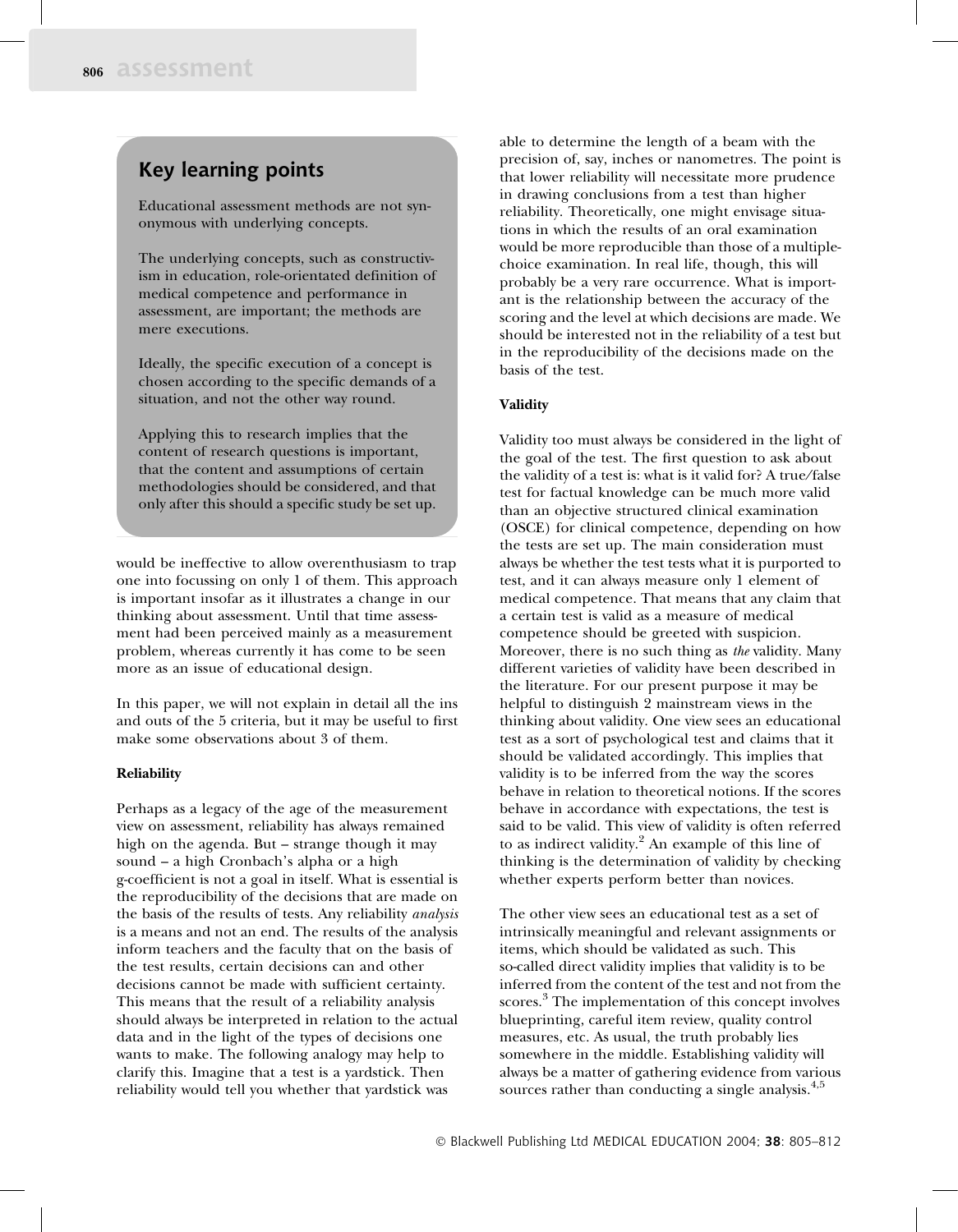## Key learning points

Educational assessment methods are not synonymous with underlying concepts.

The underlying concepts, such as constructivism in education, role-orientated definition of medical competence and performance in assessment, are important; the methods are mere executions.

Ideally, the specific execution of a concept is chosen according to the specific demands of a situation, and not the other way round.

Applying this to research implies that the content of research questions is important, that the content and assumptions of certain methodologies should be considered, and that only after this should a specific study be set up.

would be ineffective to allow overenthusiasm to trap one into focussing on only 1 of them. This approach is important insofar as it illustrates a change in our thinking about assessment. Until that time assessment had been perceived mainly as a measurement problem, whereas currently it has come to be seen more as an issue of educational design.

In this paper, we will not explain in detail all the ins and outs of the 5 criteria, but it may be useful to first make some observations about 3 of them.

#### Reliability

Perhaps as a legacy of the age of the measurement view on assessment, reliability has always remained high on the agenda. But – strange though it may sound – a high Cronbach's alpha or a high g-coefficient is not a goal in itself. What is essential is the reproducibility of the decisions that are made on the basis of the results of tests. Any reliability analysis is a means and not an end. The results of the analysis inform teachers and the faculty that on the basis of the test results, certain decisions can and other decisions cannot be made with sufficient certainty. This means that the result of a reliability analysis should always be interpreted in relation to the actual data and in the light of the types of decisions one wants to make. The following analogy may help to clarify this. Imagine that a test is a yardstick. Then reliability would tell you whether that yardstick was

able to determine the length of a beam with the precision of, say, inches or nanometres. The point is that lower reliability will necessitate more prudence in drawing conclusions from a test than higher reliability. Theoretically, one might envisage situations in which the results of an oral examination would be more reproducible than those of a multiplechoice examination. In real life, though, this will probably be a very rare occurrence. What is important is the relationship between the accuracy of the scoring and the level at which decisions are made. We should be interested not in the reliability of a test but in the reproducibility of the decisions made on the basis of the test.

#### Validity

Validity too must always be considered in the light of the goal of the test. The first question to ask about the validity of a test is: what is it valid for? A true/false test for factual knowledge can be much more valid than an objective structured clinical examination (OSCE) for clinical competence, depending on how the tests are set up. The main consideration must always be whether the test tests what it is purported to test, and it can always measure only 1 element of medical competence. That means that any claim that a certain test is valid as a measure of medical competence should be greeted with suspicion. Moreover, there is no such thing as the validity. Many different varieties of validity have been described in the literature. For our present purpose it may be helpful to distinguish 2 mainstream views in the thinking about validity. One view sees an educational test as a sort of psychological test and claims that it should be validated accordingly. This implies that validity is to be inferred from the way the scores behave in relation to theoretical notions. If the scores behave in accordance with expectations, the test is said to be valid. This view of validity is often referred to as indirect validity. $^{2}$  An example of this line of thinking is the determination of validity by checking whether experts perform better than novices.

The other view sees an educational test as a set of intrinsically meaningful and relevant assignments or items, which should be validated as such. This so-called direct validity implies that validity is to be inferred from the content of the test and not from the scores.<sup>3</sup> The implementation of this concept involves blueprinting, careful item review, quality control measures, etc. As usual, the truth probably lies somewhere in the middle. Establishing validity will always be a matter of gathering evidence from various sources rather than conducting a single analysis.<sup>4,5</sup>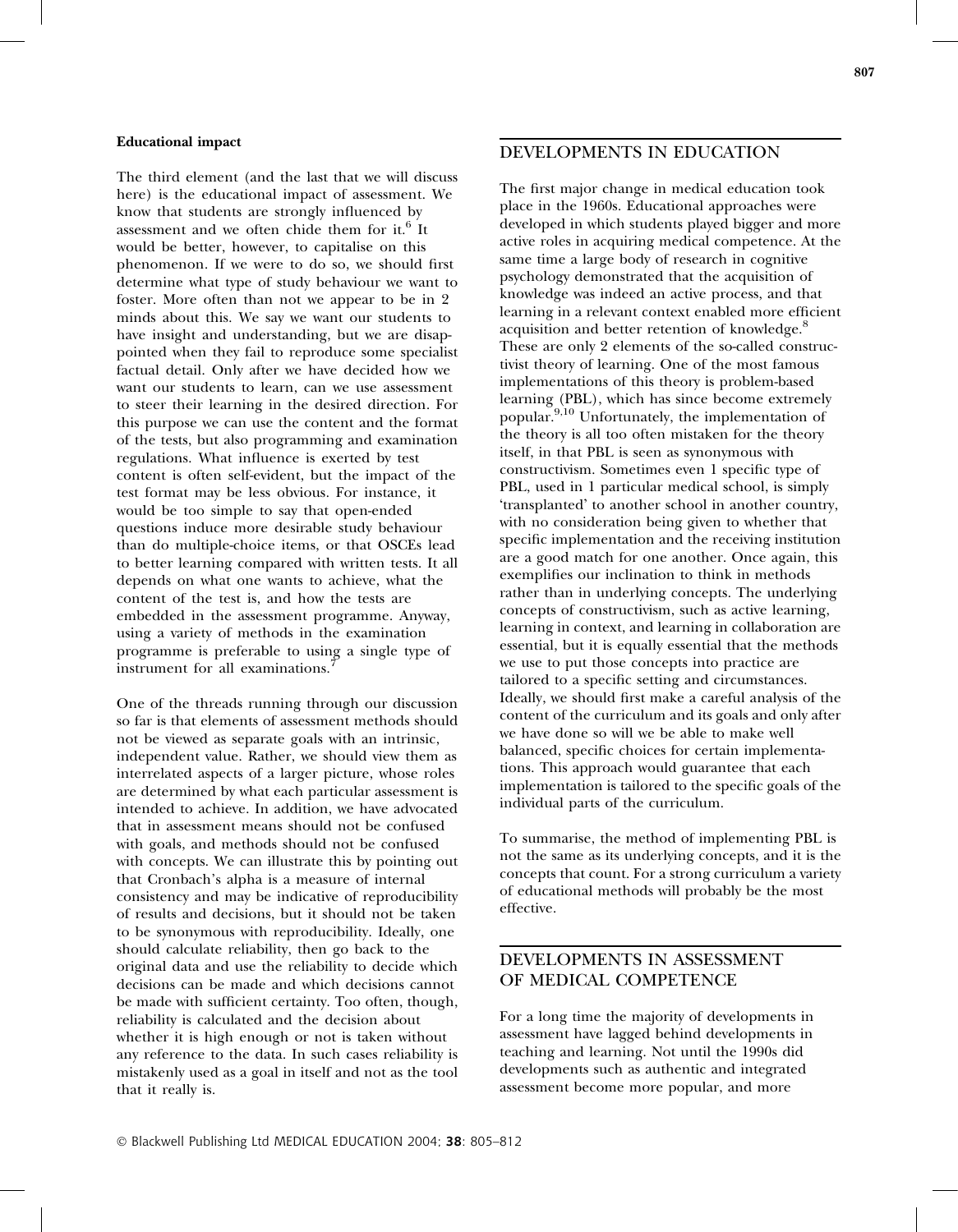#### Educational impact

The third element (and the last that we will discuss here) is the educational impact of assessment. We know that students are strongly influenced by assessment and we often chide them for it. $6$  It would be better, however, to capitalise on this phenomenon. If we were to do so, we should first determine what type of study behaviour we want to foster. More often than not we appear to be in 2 minds about this. We say we want our students to have insight and understanding, but we are disappointed when they fail to reproduce some specialist factual detail. Only after we have decided how we want our students to learn, can we use assessment to steer their learning in the desired direction. For this purpose we can use the content and the format of the tests, but also programming and examination regulations. What influence is exerted by test content is often self-evident, but the impact of the test format may be less obvious. For instance, it would be too simple to say that open-ended questions induce more desirable study behaviour than do multiple-choice items, or that OSCEs lead to better learning compared with written tests. It all depends on what one wants to achieve, what the content of the test is, and how the tests are embedded in the assessment programme. Anyway, using a variety of methods in the examination programme is preferable to using a single type of instrument for all examinations.<sup>7</sup>

One of the threads running through our discussion so far is that elements of assessment methods should not be viewed as separate goals with an intrinsic, independent value. Rather, we should view them as interrelated aspects of a larger picture, whose roles are determined by what each particular assessment is intended to achieve. In addition, we have advocated that in assessment means should not be confused with goals, and methods should not be confused with concepts. We can illustrate this by pointing out that Cronbach's alpha is a measure of internal consistency and may be indicative of reproducibility of results and decisions, but it should not be taken to be synonymous with reproducibility. Ideally, one should calculate reliability, then go back to the original data and use the reliability to decide which decisions can be made and which decisions cannot be made with sufficient certainty. Too often, though, reliability is calculated and the decision about whether it is high enough or not is taken without any reference to the data. In such cases reliability is mistakenly used as a goal in itself and not as the tool that it really is.

## DEVELOPMENTS IN EDUCATION

The first major change in medical education took place in the 1960s. Educational approaches were developed in which students played bigger and more active roles in acquiring medical competence. At the same time a large body of research in cognitive psychology demonstrated that the acquisition of knowledge was indeed an active process, and that learning in a relevant context enabled more efficient acquisition and better retention of knowledge.<sup>8</sup> These are only 2 elements of the so-called constructivist theory of learning. One of the most famous implementations of this theory is problem-based learning (PBL), which has since become extremely popular.<sup>9,10</sup> Unfortunately, the implementation of the theory is all too often mistaken for the theory itself, in that PBL is seen as synonymous with constructivism. Sometimes even 1 specific type of PBL, used in 1 particular medical school, is simply 'transplanted' to another school in another country, with no consideration being given to whether that specific implementation and the receiving institution are a good match for one another. Once again, this exemplifies our inclination to think in methods rather than in underlying concepts. The underlying concepts of constructivism, such as active learning, learning in context, and learning in collaboration are essential, but it is equally essential that the methods we use to put those concepts into practice are tailored to a specific setting and circumstances. Ideally, we should first make a careful analysis of the content of the curriculum and its goals and only after we have done so will we be able to make well balanced, specific choices for certain implementations. This approach would guarantee that each implementation is tailored to the specific goals of the individual parts of the curriculum.

To summarise, the method of implementing PBL is not the same as its underlying concepts, and it is the concepts that count. For a strong curriculum a variety of educational methods will probably be the most effective.

## DEVELOPMENTS IN ASSESSMENT OF MEDICAL COMPETENCE

For a long time the majority of developments in assessment have lagged behind developments in teaching and learning. Not until the 1990s did developments such as authentic and integrated assessment become more popular, and more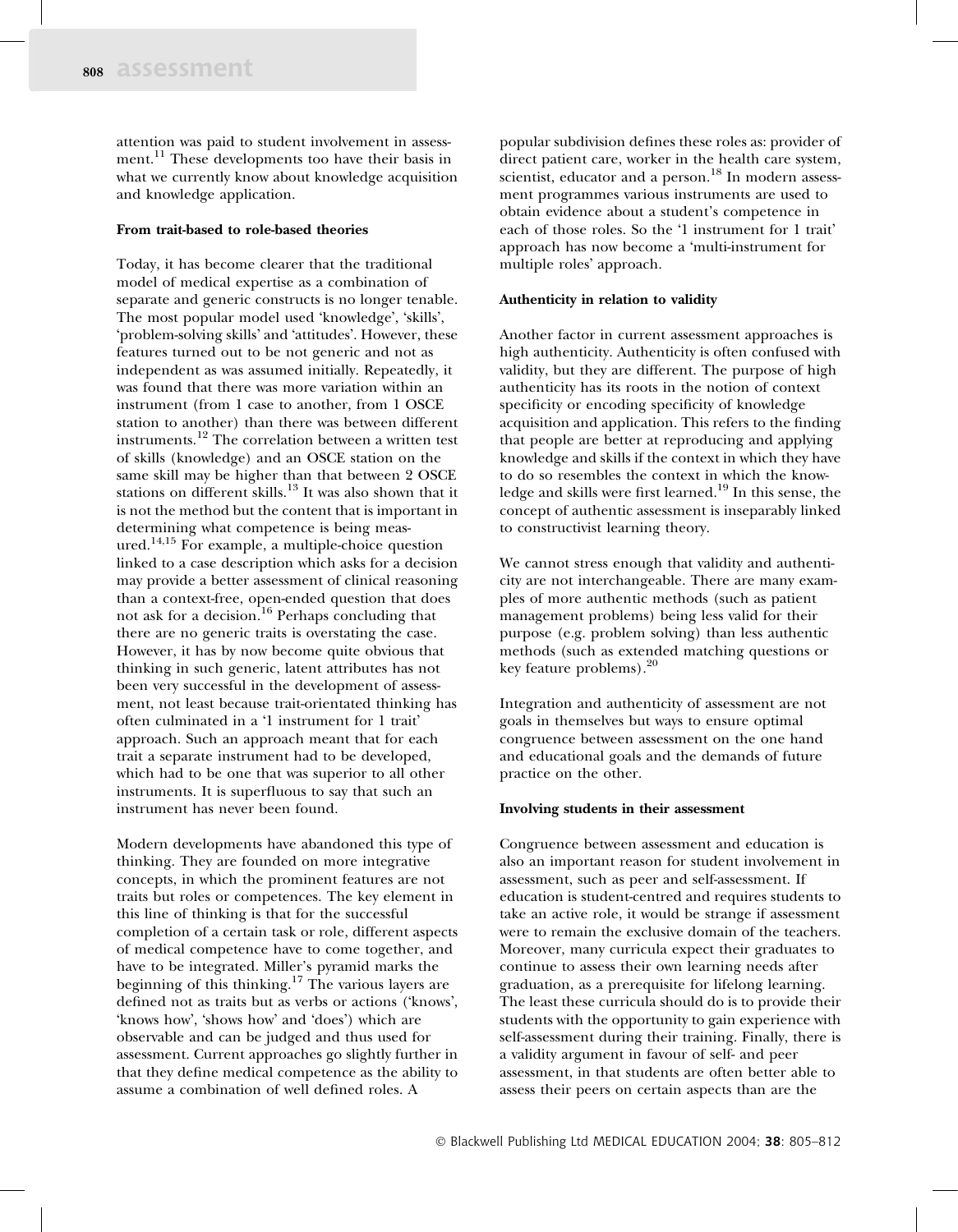attention was paid to student involvement in assessment.<sup>11</sup> These developments too have their basis in what we currently know about knowledge acquisition and knowledge application.

#### From trait-based to role-based theories

Today, it has become clearer that the traditional model of medical expertise as a combination of separate and generic constructs is no longer tenable. The most popular model used 'knowledge', 'skills', ʻproblem-solving skills' and ʻattitudes'. However, these features turned out to be not generic and not as independent as was assumed initially. Repeatedly, it was found that there was more variation within an instrument (from 1 case to another, from 1 OSCE station to another) than there was between different instruments.<sup>12</sup> The correlation between a written test of skills (knowledge) and an OSCE station on the same skill may be higher than that between 2 OSCE stations on different skills.<sup>13</sup> It was also shown that it is not the method but the content that is important in determining what competence is being measured.<sup>14,15</sup> For example, a multiple-choice question linked to a case description which asks for a decision may provide a better assessment of clinical reasoning than a context-free, open-ended question that does not ask for a decision.<sup>16</sup> Perhaps concluding that there are no generic traits is overstating the case. However, it has by now become quite obvious that thinking in such generic, latent attributes has not been very successful in the development of assessment, not least because trait-orientated thinking has often culminated in a '1 instrument for 1 trait' approach. Such an approach meant that for each trait a separate instrument had to be developed, which had to be one that was superior to all other instruments. It is superfluous to say that such an instrument has never been found.

Modern developments have abandoned this type of thinking. They are founded on more integrative concepts, in which the prominent features are not traits but roles or competences. The key element in this line of thinking is that for the successful completion of a certain task or role, different aspects of medical competence have to come together, and have to be integrated. Miller's pyramid marks the beginning of this thinking.17 The various layers are defined not as traits but as verbs or actions ('knows', 'knows how', 'shows how' and 'does') which are observable and can be judged and thus used for assessment. Current approaches go slightly further in that they define medical competence as the ability to assume a combination of well defined roles. A

popular subdivision defines these roles as: provider of direct patient care, worker in the health care system, scientist, educator and a person.<sup>18</sup> In modern assessment programmes various instruments are used to obtain evidence about a student's competence in each of those roles. So the '1 instrument for 1 trait' approach has now become a 'multi-instrument for multiple roles' approach.

#### Authenticity in relation to validity

Another factor in current assessment approaches is high authenticity. Authenticity is often confused with validity, but they are different. The purpose of high authenticity has its roots in the notion of context specificity or encoding specificity of knowledge acquisition and application. This refers to the finding that people are better at reproducing and applying knowledge and skills if the context in which they have to do so resembles the context in which the knowledge and skills were first learned.<sup>19</sup> In this sense, the concept of authentic assessment is inseparably linked to constructivist learning theory.

We cannot stress enough that validity and authenticity are not interchangeable. There are many examples of more authentic methods (such as patient management problems) being less valid for their purpose (e.g. problem solving) than less authentic methods (such as extended matching questions or key feature problems).<sup>20</sup>

Integration and authenticity of assessment are not goals in themselves but ways to ensure optimal congruence between assessment on the one hand and educational goals and the demands of future practice on the other.

#### Involving students in their assessment

Congruence between assessment and education is also an important reason for student involvement in assessment, such as peer and self-assessment. If education is student-centred and requires students to take an active role, it would be strange if assessment were to remain the exclusive domain of the teachers. Moreover, many curricula expect their graduates to continue to assess their own learning needs after graduation, as a prerequisite for lifelong learning. The least these curricula should do is to provide their students with the opportunity to gain experience with self-assessment during their training. Finally, there is a validity argument in favour of self- and peer assessment, in that students are often better able to assess their peers on certain aspects than are the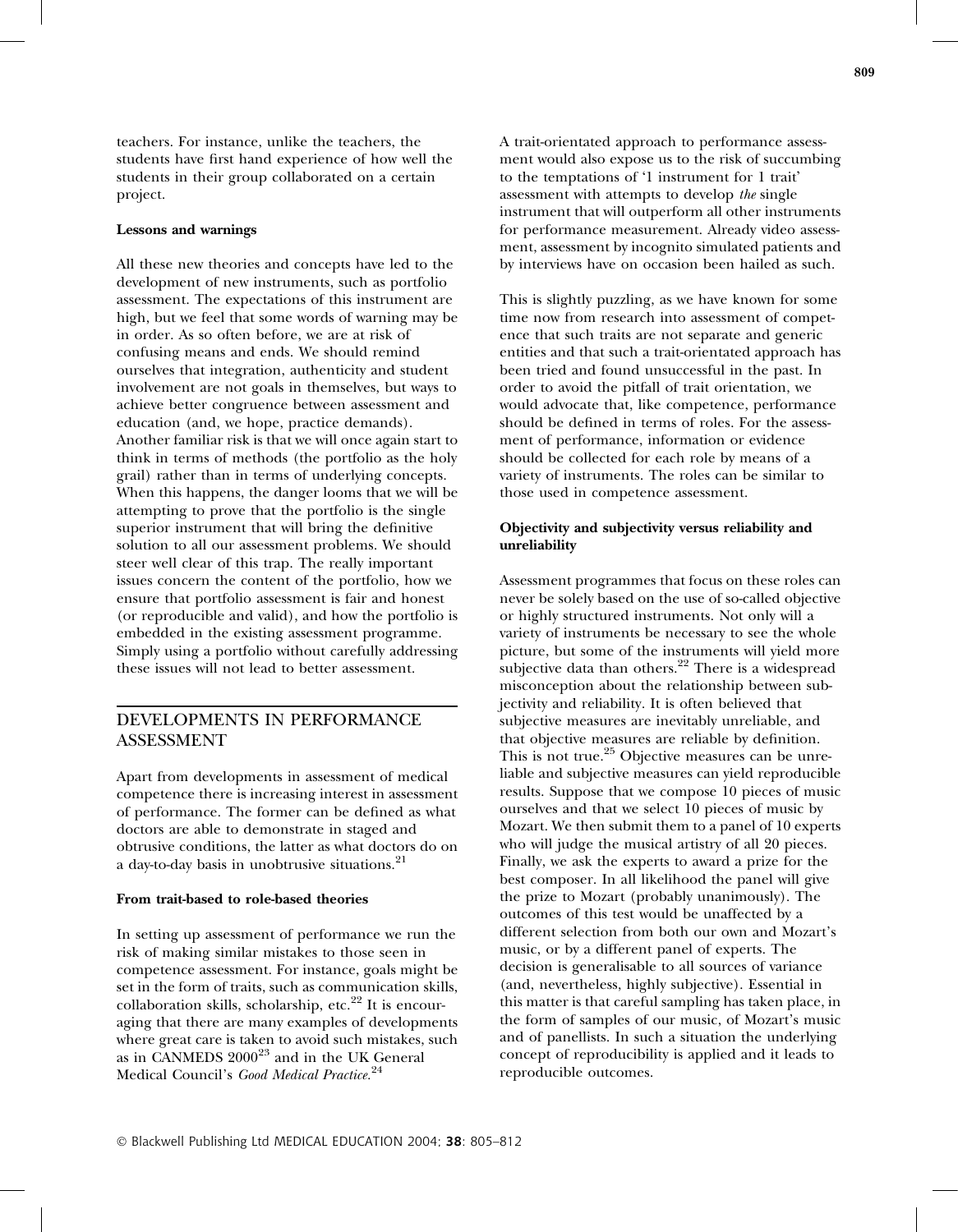teachers. For instance, unlike the teachers, the students have first hand experience of how well the students in their group collaborated on a certain project.

#### Lessons and warnings

All these new theories and concepts have led to the development of new instruments, such as portfolio assessment. The expectations of this instrument are high, but we feel that some words of warning may be in order. As so often before, we are at risk of confusing means and ends. We should remind ourselves that integration, authenticity and student involvement are not goals in themselves, but ways to achieve better congruence between assessment and education (and, we hope, practice demands). Another familiar risk is that we will once again start to think in terms of methods (the portfolio as the holy grail) rather than in terms of underlying concepts. When this happens, the danger looms that we will be attempting to prove that the portfolio is the single superior instrument that will bring the definitive solution to all our assessment problems. We should steer well clear of this trap. The really important issues concern the content of the portfolio, how we ensure that portfolio assessment is fair and honest (or reproducible and valid), and how the portfolio is embedded in the existing assessment programme. Simply using a portfolio without carefully addressing these issues will not lead to better assessment.

## DEVELOPMENTS IN PERFORMANCE ASSESSMENT

Apart from developments in assessment of medical competence there is increasing interest in assessment of performance. The former can be defined as what doctors are able to demonstrate in staged and obtrusive conditions, the latter as what doctors do on a day-to-day basis in unobtrusive situations.<sup>21</sup>

#### From trait-based to role-based theories

In setting up assessment of performance we run the risk of making similar mistakes to those seen in competence assessment. For instance, goals might be set in the form of traits, such as communication skills, collaboration skills, scholarship, etc. $22$  It is encouraging that there are many examples of developments where great care is taken to avoid such mistakes, such as in CANMEDS  $2000^{23}$  and in the UK General Medical Council's Good Medical Practice.<sup>24</sup>

A trait-orientated approach to performance assessment would also expose us to the risk of succumbing to the temptations of '1 instrument for 1 trait' assessment with attempts to develop the single instrument that will outperform all other instruments for performance measurement. Already video assessment, assessment by incognito simulated patients and by interviews have on occasion been hailed as such.

This is slightly puzzling, as we have known for some time now from research into assessment of competence that such traits are not separate and generic entities and that such a trait-orientated approach has been tried and found unsuccessful in the past. In order to avoid the pitfall of trait orientation, we would advocate that, like competence, performance should be defined in terms of roles. For the assessment of performance, information or evidence should be collected for each role by means of a variety of instruments. The roles can be similar to those used in competence assessment.

#### Objectivity and subjectivity versus reliability and unreliability

Assessment programmes that focus on these roles can never be solely based on the use of so-called objective or highly structured instruments. Not only will a variety of instruments be necessary to see the whole picture, but some of the instruments will yield more subjective data than others. $22$  There is a widespread misconception about the relationship between subjectivity and reliability. It is often believed that subjective measures are inevitably unreliable, and that objective measures are reliable by definition. This is not true.<sup>25</sup> Objective measures can be unreliable and subjective measures can yield reproducible results. Suppose that we compose 10 pieces of music ourselves and that we select 10 pieces of music by Mozart. We then submit them to a panel of 10 experts who will judge the musical artistry of all 20 pieces. Finally, we ask the experts to award a prize for the best composer. In all likelihood the panel will give the prize to Mozart (probably unanimously). The outcomes of this test would be unaffected by a different selection from both our own and Mozart's music, or by a different panel of experts. The decision is generalisable to all sources of variance (and, nevertheless, highly subjective). Essential in this matter is that careful sampling has taken place, in the form of samples of our music, of Mozart's music and of panellists. In such a situation the underlying concept of reproducibility is applied and it leads to reproducible outcomes.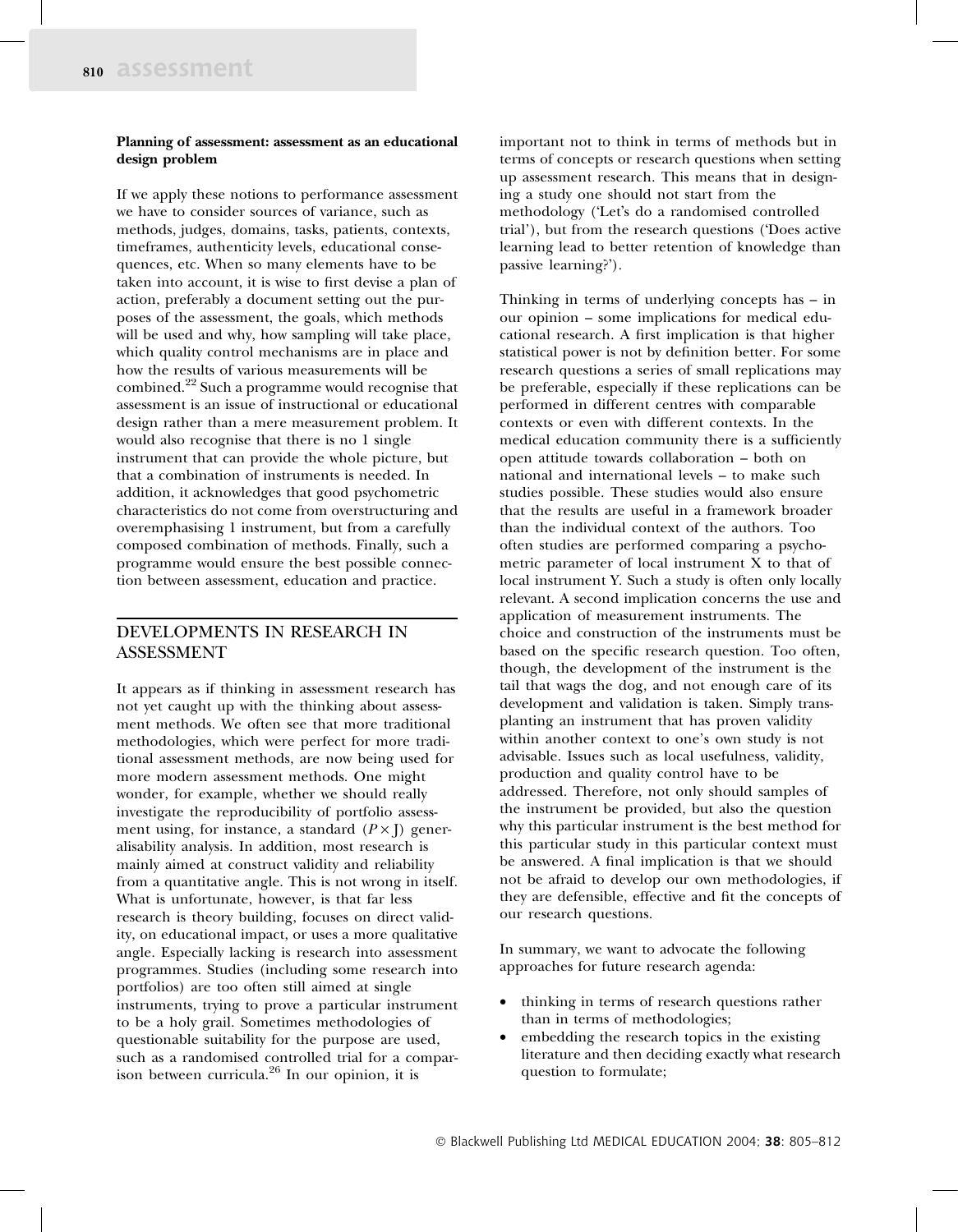#### Planning of assessment: assessment as an educational design problem

If we apply these notions to performance assessment we have to consider sources of variance, such as methods, judges, domains, tasks, patients, contexts, timeframes, authenticity levels, educational consequences, etc. When so many elements have to be taken into account, it is wise to first devise a plan of action, preferably a document setting out the purposes of the assessment, the goals, which methods will be used and why, how sampling will take place, which quality control mechanisms are in place and how the results of various measurements will be combined.22 Such a programme would recognise that assessment is an issue of instructional or educational design rather than a mere measurement problem. It would also recognise that there is no 1 single instrument that can provide the whole picture, but that a combination of instruments is needed. In addition, it acknowledges that good psychometric characteristics do not come from overstructuring and overemphasising 1 instrument, but from a carefully composed combination of methods. Finally, such a programme would ensure the best possible connection between assessment, education and practice.

## DEVELOPMENTS IN RESEARCH IN ASSESSMENT

It appears as if thinking in assessment research has not yet caught up with the thinking about assessment methods. We often see that more traditional methodologies, which were perfect for more traditional assessment methods, are now being used for more modern assessment methods. One might wonder, for example, whether we should really investigate the reproducibility of portfolio assessment using, for instance, a standard  $(P \times I)$  generalisability analysis. In addition, most research is mainly aimed at construct validity and reliability from a quantitative angle. This is not wrong in itself. What is unfortunate, however, is that far less research is theory building, focuses on direct validity, on educational impact, or uses a more qualitative angle. Especially lacking is research into assessment programmes. Studies (including some research into portfolios) are too often still aimed at single instruments, trying to prove a particular instrument to be a holy grail. Sometimes methodologies of questionable suitability for the purpose are used, such as a randomised controlled trial for a comparison between curricula. $2^6$  In our opinion, it is

important not to think in terms of methods but in terms of concepts or research questions when setting up assessment research. This means that in designing a study one should not start from the methodology ('Let's do a randomised controlled trial'), but from the research questions (Does active learning lead to better retention of knowledge than passive learning?').

Thinking in terms of underlying concepts has – in our opinion – some implications for medical educational research. A first implication is that higher statistical power is not by definition better. For some research questions a series of small replications may be preferable, especially if these replications can be performed in different centres with comparable contexts or even with different contexts. In the medical education community there is a sufficiently open attitude towards collaboration – both on national and international levels – to make such studies possible. These studies would also ensure that the results are useful in a framework broader than the individual context of the authors. Too often studies are performed comparing a psychometric parameter of local instrument X to that of local instrument Y. Such a study is often only locally relevant. A second implication concerns the use and application of measurement instruments. The choice and construction of the instruments must be based on the specific research question. Too often, though, the development of the instrument is the tail that wags the dog, and not enough care of its development and validation is taken. Simply transplanting an instrument that has proven validity within another context to one's own study is not advisable. Issues such as local usefulness, validity, production and quality control have to be addressed. Therefore, not only should samples of the instrument be provided, but also the question why this particular instrument is the best method for this particular study in this particular context must be answered. A final implication is that we should not be afraid to develop our own methodologies, if they are defensible, effective and fit the concepts of our research questions.

In summary, we want to advocate the following approaches for future research agenda:

- thinking in terms of research questions rather than in terms of methodologies;
- embedding the research topics in the existing literature and then deciding exactly what research question to formulate;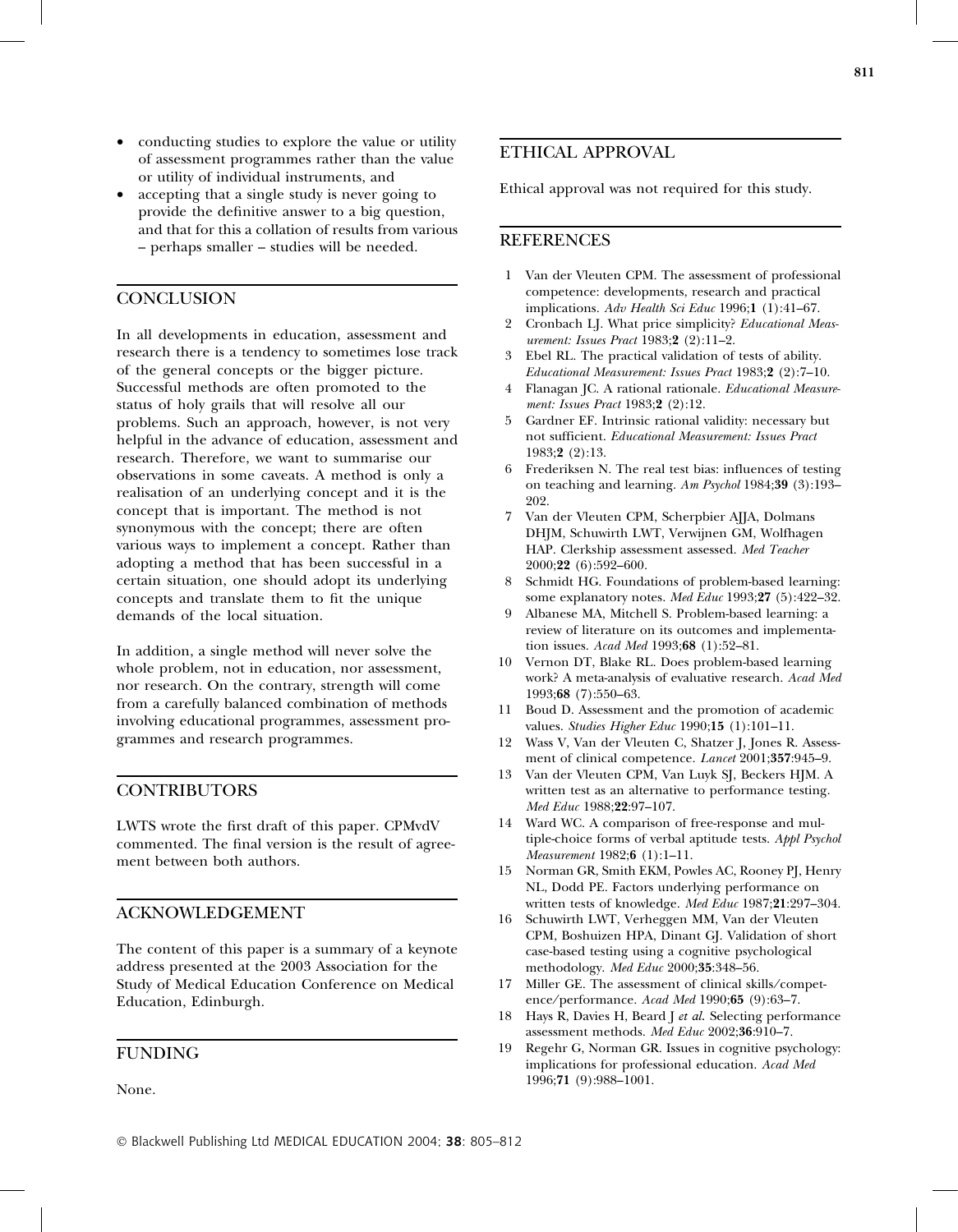- conducting studies to explore the value or utility of assessment programmes rather than the value or utility of individual instruments, and
- accepting that a single study is never going to provide the definitive answer to a big question, and that for this a collation of results from various – perhaps smaller – studies will be needed.

## **CONCLUSION**

In all developments in education, assessment and research there is a tendency to sometimes lose track of the general concepts or the bigger picture. Successful methods are often promoted to the status of holy grails that will resolve all our problems. Such an approach, however, is not very helpful in the advance of education, assessment and research. Therefore, we want to summarise our observations in some caveats. A method is only a realisation of an underlying concept and it is the concept that is important. The method is not synonymous with the concept; there are often various ways to implement a concept. Rather than adopting a method that has been successful in a certain situation, one should adopt its underlying concepts and translate them to fit the unique demands of the local situation.

In addition, a single method will never solve the whole problem, not in education, nor assessment, nor research. On the contrary, strength will come from a carefully balanced combination of methods involving educational programmes, assessment programmes and research programmes.

## **CONTRIBUTORS**

LWTS wrote the first draft of this paper. CPMvdV commented. The final version is the result of agreement between both authors.

### ACKNOWLEDGEMENT

The content of this paper is a summary of a keynote address presented at the 2003 Association for the Study of Medical Education Conference on Medical Education, Edinburgh.

## FUNDING

None.

## ETHICAL APPROVAL

Ethical approval was not required for this study.

#### **REFERENCES**

- 1 Van der Vleuten CPM. The assessment of professional competence: developments, research and practical implications. Adv Health Sci Educ 1996;1 (1):41–67.
- 2 Cronbach LJ. What price simplicity? Educational Measurement: Issues Pract 1983;2 (2):11-2.
- 3 Ebel RL. The practical validation of tests of ability. Educational Measurement: Issues Pract 1983;2 (2):7–10.
- 4 Flanagan JC. A rational rationale. Educational Measurement: Issues Pract 1983;2 (2):12.
- 5 Gardner EF. Intrinsic rational validity: necessary but not sufficient. Educational Measurement: Issues Pract 1983;2 (2):13.
- 6 Frederiksen N. The real test bias: influences of testing on teaching and learning. Am Psychol 1984;39 (3):193– 202.
- 7 Van der Vleuten CPM, Scherpbier AJJA, Dolmans DHJM, Schuwirth LWT, Verwijnen GM, Wolfhagen HAP. Clerkship assessment assessed. Med Teacher 2000;22 (6):592–600.
- 8 Schmidt HG. Foundations of problem-based learning: some explanatory notes. Med Educ 1993;27 (5):422–32.
- 9 Albanese MA, Mitchell S. Problem-based learning: a review of literature on its outcomes and implementation issues. Acad Med 1993;68 (1):52–81.
- 10 Vernon DT, Blake RL. Does problem-based learning work? A meta-analysis of evaluative research. Acad Med 1993;68 (7):550–63.
- 11 Boud D. Assessment and the promotion of academic values. Studies Higher Educ 1990;15 (1):101-11.
- 12 Wass V, Van der Vleuten C, Shatzer J, Jones R. Assessment of clinical competence. Lancet 2001;357:945–9.
- 13 Van der Vleuten CPM, Van Luyk SJ, Beckers HJM. A written test as an alternative to performance testing. Med Educ 1988;22:97–107.
- 14 Ward WC. A comparison of free-response and multiple-choice forms of verbal aptitude tests. Appl Psychol Measurement 1982;6 (1):1–11.
- 15 Norman GR, Smith EKM, Powles AC, Rooney PJ, Henry NL, Dodd PE. Factors underlying performance on written tests of knowledge. Med Educ 1987;21:297–304.
- 16 Schuwirth LWT, Verheggen MM, Van der Vleuten CPM, Boshuizen HPA, Dinant GJ. Validation of short case-based testing using a cognitive psychological methodology. Med Educ 2000;35:348–56.
- 17 Miller GE. The assessment of clinical skills⁄ competence/performance. Acad Med 1990;65 (9):63-7.
- 18 Hays R, Davies H, Beard J et al. Selecting performance assessment methods. Med Educ 2002;36:910–7.
- 19 Regehr G, Norman GR. Issues in cognitive psychology: implications for professional education. Acad Med 1996;71 (9):988–1001.